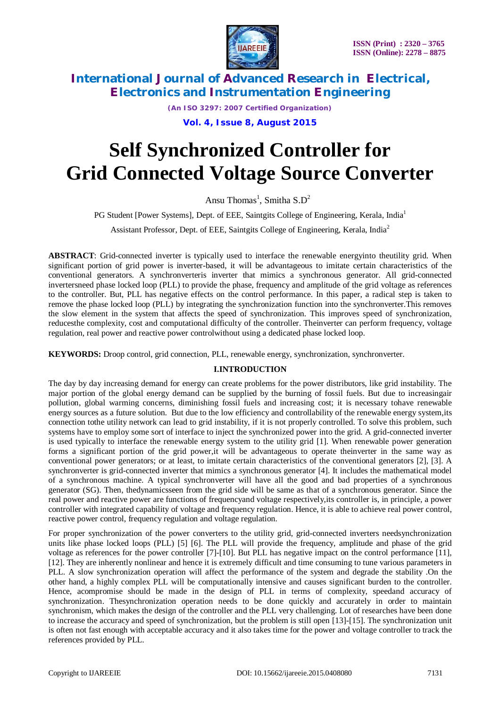

*(An ISO 3297: 2007 Certified Organization)* **Vol. 4, Issue 8, August 2015**

# **Self Synchronized Controller for Grid Connected Voltage Source Converter**

Ansu Thomas<sup>1</sup>, Smitha  $S.D^2$ 

PG Student [Power Systems], Dept. of EEE, Saintgits College of Engineering, Kerala, India<sup>1</sup>

Assistant Professor, Dept. of EEE, Saintgits College of Engineering, Kerala, India<sup>2</sup>

**ABSTRACT**: Grid-connected inverter is typically used to interface the renewable energyinto theutility grid. When significant portion of grid power is inverter-based, it will be advantageous to imitate certain characteristics of the conventional generators. A synchronverteris inverter that mimics a synchronous generator. All grid-connected invertersneed phase locked loop (PLL) to provide the phase, frequency and amplitude of the grid voltage as references to the controller. But, PLL has negative effects on the control performance. In this paper, a radical step is taken to remove the phase locked loop (PLL) by integrating the synchronization function into the synchronverter.This removes the slow element in the system that affects the speed of synchronization. This improves speed of synchronization, reducesthe complexity, cost and computational difficulty of the controller. Theinverter can perform frequency, voltage regulation, real power and reactive power controlwithout using a dedicated phase locked loop.

**KEYWORDS:** Droop control, grid connection, PLL, renewable energy, synchronization, synchronverter.

### **I.INTRODUCTION**

The day by day increasing demand for energy can create problems for the power distributors, like grid instability. The major portion of the global energy demand can be supplied by the burning of fossil fuels. But due to increasingair pollution, global warming concerns, diminishing fossil fuels and increasing cost; it is necessary tohave renewable energy sources as a future solution. But due to the low efficiency and controllability of the renewable energy system,its connection tothe utility network can lead to grid instability, if it is not properly controlled. To solve this problem, such systems have to employ some sort of interface to inject the synchronized power into the grid. A grid-connected inverter is used typically to interface the renewable energy system to the utility grid [1]. When renewable power generation forms a significant portion of the grid power,it will be advantageous to operate theinverter in the same way as conventional power generators; or at least, to imitate certain characteristics of the conventional generators [2], [3]. A synchronverter is grid-connected inverter that mimics a synchronous generator [4]. It includes the mathematical model of a synchronous machine. A typical synchronverter will have all the good and bad properties of a synchronous generator (SG). Then, thedynamicsseen from the grid side will be same as that of a synchronous generator. Since the real power and reactive power are functions of frequencyand voltage respectively,its controller is, in principle, a power controller with integrated capability of voltage and frequency regulation. Hence, it is able to achieve real power control, reactive power control, frequency regulation and voltage regulation.

For proper synchronization of the power converters to the utility grid, grid-connected inverters needsynchronization units like phase locked loops (PLL) [5] [6]. The PLL will provide the frequency, amplitude and phase of the grid voltage as references for the power controller [7]-[10]. But PLL has negative impact on the control performance [11], [12]. They are inherently nonlinear and hence it is extremely difficult and time consuming to tune various parameters in PLL. A slow synchronization operation will affect the performance of the system and degrade the stability .On the other hand, a highly complex PLL will be computationally intensive and causes significant burden to the controller. Hence, acompromise should be made in the design of PLL in terms of complexity, speedand accuracy of synchronization. Thesynchronization operation needs to be done quickly and accurately in order to maintain synchronism, which makes the design of the controller and the PLL very challenging. Lot of researches have been done to increase the accuracy and speed of synchronization, but the problem is still open [13]-[15]. The synchronization unit is often not fast enough with acceptable accuracy and it also takes time for the power and voltage controller to track the references provided by PLL.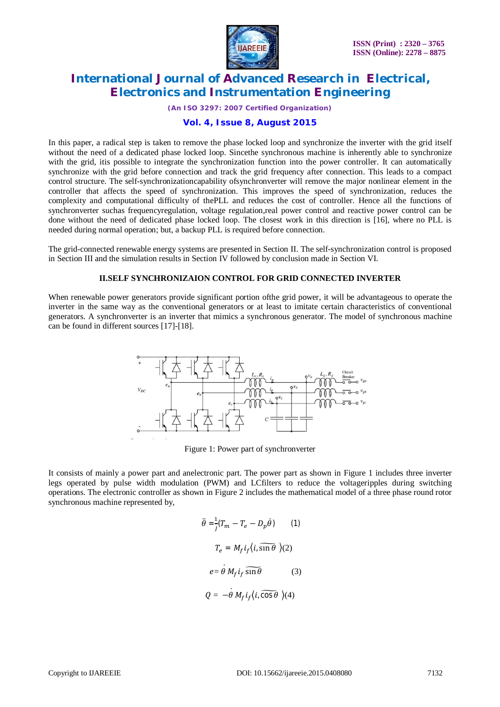

*(An ISO 3297: 2007 Certified Organization)*

#### **Vol. 4, Issue 8, August 2015**

In this paper, a radical step is taken to remove the phase locked loop and synchronize the inverter with the grid itself without the need of a dedicated phase locked loop. Sincethe synchronous machine is inherently able to synchronize with the grid, it is possible to integrate the synchronization function into the power controller. It can automatically synchronize with the grid before connection and track the grid frequency after connection. This leads to a compact control structure. The self-synchronizationcapability ofsynchronverter will remove the major nonlinear element in the controller that affects the speed of synchronization. This improves the speed of synchronization, reduces the complexity and computational difficulty of thePLL and reduces the cost of controller. Hence all the functions of synchronverter suchas frequencyregulation, voltage regulation,real power control and reactive power control can be done without the need of dedicated phase locked loop. The closest work in this direction is [16], where no PLL is needed during normal operation; but, a backup PLL is required before connection.

The grid-connected renewable energy systems are presented in Section II. The self-synchronization control is proposed in Section III and the simulation results in Section IV followed by conclusion made in Section VI.

#### **II.SELF SYNCHRONIZAION CONTROL FOR GRID CONNECTED INVERTER**

When renewable power generators provide significant portion ofthe grid power, it will be advantageous to operate the inverter in the same way as the conventional generators or at least to imitate certain characteristics of conventional generators. A synchronverter is an inverter that mimics a synchronous generator. The model of synchronous machine can be found in different sources [17]-[18].



Figure 1: Power part of synchronverter

It consists of mainly a power part and anelectronic part. The power part as shown in Figure 1 includes three inverter legs operated by pulse width modulation (PWM) and LCfilters to reduce the voltageripples during switching operations. The electronic controller as shown in Figure 2 includes the mathematical model of a three phase round rotor synchronous machine represented by,

$$
\ddot{\theta} = \frac{1}{j}(T_m - T_e - D_p \dot{\theta}) \qquad (1)
$$

$$
T_e = M_f i_f \langle i, \widehat{\sin \theta} \rangle (2)
$$

$$
e = \dot{\theta} M_f i_f \widehat{\sin \theta} \qquad (3)
$$

$$
Q = -\dot{\theta} M_f i_f \langle i, \widehat{\cos \theta} \rangle (4)
$$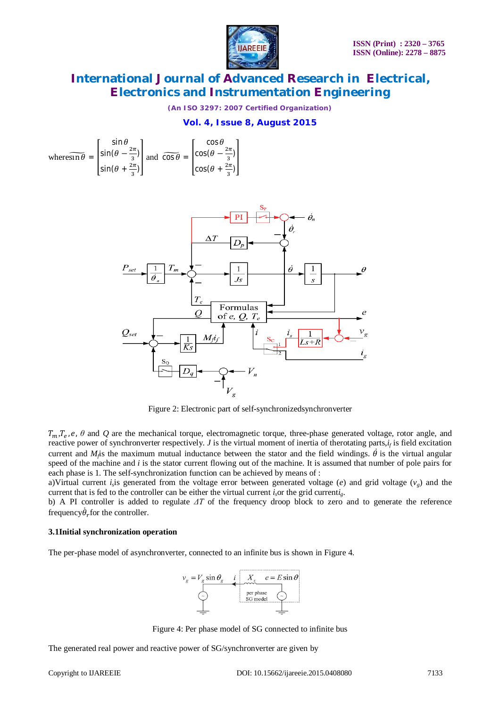

*(An ISO 3297: 2007 Certified Organization)*

### **Vol. 4, Issue 8, August 2015**

where
$$
\overline{\sin \theta}
$$
 =  $\begin{bmatrix} \sin \theta \\ \sin(\theta - \frac{2\pi}{3}) \\ \sin(\theta + \frac{2\pi}{3}) \end{bmatrix}$  and  $\overline{\cos \theta}$  =  $\begin{bmatrix} \cos \theta \\ \cos(\theta - \frac{2\pi}{3}) \\ \cos(\theta + \frac{2\pi}{3}) \end{bmatrix}$ 



Figure 2: Electronic part of self-synchronizedsynchronverter

 $T_m, T_e, e, \theta$  and Q are the mechanical torque, electromagnetic torque, three-phase generated voltage, rotor angle, and reactive power of synchronverter respectively. *J* is the virtual moment of inertia of therotating parts,*i<sup>f</sup>* is field excitation current and  $M_A$  is the maximum mutual inductance between the stator and the field windings.  $\dot{\theta}$  is the virtual angular speed of the machine and *i* is the stator current flowing out of the machine. It is assumed that number of pole pairs for each phase is 1. The self-synchronization function can be achieved by means of :

a)Virtual current *i*<sub>s</sub> is generated from the voltage error between generated voltage (*e*) and grid voltage ( $v_g$ ) and the current that is fed to the controller can be either the virtual current *i*<sub>c</sub>or the grid current*i*<sub>*g*</sub>.

b) A PI controller is added to regulate *ΔT* of the frequency droop block to zero and to generate the reference frequency $\dot{\theta}_r$  for the controller.

#### **3.1Initial synchronization operation**

The per-phase model of asynchronverter, connected to an infinite bus is shown in Figure 4.



Figure 4: Per phase model of SG connected to infinite bus

The generated real power and reactive power of SG/synchronverter are given by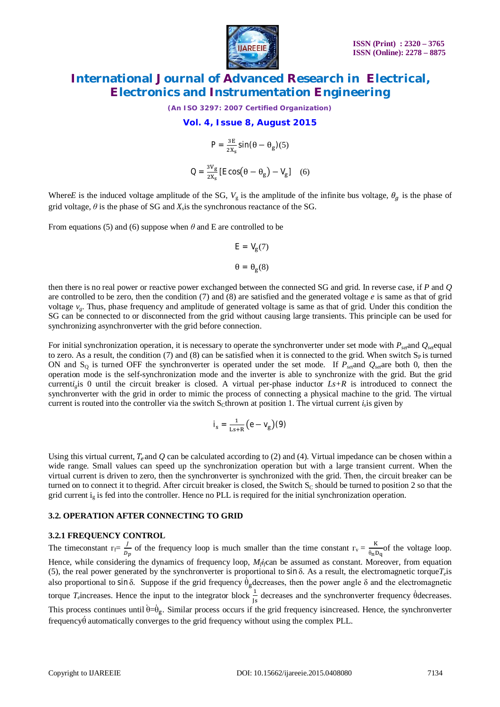

*(An ISO 3297: 2007 Certified Organization)*

#### **Vol. 4, Issue 8, August 2015**

$$
P = \frac{3E}{2X_s} \sin(\theta - \theta_g)(5)
$$

$$
Q = \frac{3V_g}{2X_s} [E \cos(\theta - \theta_g) - V_g] \quad (6)
$$

Where*E* is the induced voltage amplitude of the SG,  $V_g$  is the amplitude of the infinite bus voltage,  $\theta_g$  is the phase of grid voltage,  $\theta$  is the phase of SG and  $X_s$  is the synchronous reactance of the SG.

From equations (5) and (6) suppose when  $\theta$  and E are controlled to be

$$
E = V_g(7)
$$

$$
\theta = \theta_g(8)
$$

then there is no real power or reactive power exchanged between the connected SG and grid. In reverse case, if *P* and *Q*  are controlled to be zero, then the condition (7) and (8) are satisfied and the generated voltage *e* is same as that of grid voltage  $v_g$ . Thus, phase frequency and amplitude of generated voltage is same as that of grid. Under this condition the SG can be connected to or disconnected from the grid without causing large transients. This principle can be used for synchronizing asynchronverter with the grid before connection.

For initial synchronization operation, it is necessary to operate the synchronverter under set mode with  $P_{\text{set}}$  and  $Q_{\text{set}}$  can to zero. As a result, the condition (7) and (8) can be satisfied when it is connected to the grid. When switch  $S_P$  is turned ON and  $S<sub>0</sub>$  is turned OFF the synchronverter is operated under the set mode. If  $P<sub>set</sub>$  and  $Q<sub>set</sub>$  are both 0, then the operation mode is the self-synchronization mode and the inverter is able to synchronize with the grid. But the grid current*i*<sub>*i*</sub> is 0 until the circuit breaker is closed. A virtual per-phase inductor  $Ls+R$  is introduced to connect the synchronverter with the grid in order to mimic the process of connecting a physical machine to the grid. The virtual current is routed into the controller via the switch  $S<sub>c</sub>$ thrown at position 1. The virtual current  $i<sub>s</sub>$  is given by

$$
i_s = \tfrac{1}{\text{Ls} + \text{R}}\big(e - \text{V}_g\big)(9)
$$

Using this virtual current,  $T_e$  and Q can be calculated according to (2) and (4). Virtual impedance can be chosen within a wide range. Small values can speed up the synchronization operation but with a large transient current. When the virtual current is driven to zero, then the synchronverter is synchronized with the grid. Then, the circuit breaker can be turned on to connect it to thegrid. After circuit breaker is closed, the Switch  $S_C$  should be turned to position 2 so that the grid current  $i_g$  is fed into the controller. Hence no PLL is required for the initial synchronization operation.

#### **3.2. OPERATION AFTER CONNECTING TO GRID**

### **3.2.1 FREQUENCY CONTROL**

The timeconstant  $\Gamma_f = \frac{J}{R}$  $\frac{J}{D_p}$  of the frequency loop is much smaller than the time constant  $\Gamma_v = \frac{K}{\dot{\theta}_n \Gamma}$  $\frac{\mu}{\dot{\theta}_n D_q}$  of the voltage loop. Hence, while considering the dynamics of frequency loop, *M<sup>f</sup> if*can be assumed as constant. Moreover, from equation (5), the real power generated by the synchronverter is proportional to sin δ. As a result, the electromagnetic torque*T<sup>e</sup>* is also proportional to sin δ. Suppose if the grid frequency  $\dot{\theta}_g$  decreases, then the power angle δ and the electromagnetic torque *T<sub>e</sub>*increases. Hence the input to the integrator block  $\frac{1}{1s}$  decreases and the synchronverter frequency  $\dot{\theta}$  decreases. This process continues until  $\dot{\theta} = \dot{\theta}_g$ . Similar process occurs if the grid frequency isincreased. Hence, the synchronverter frequencyθ̇automatically converges to the grid frequency without using the complex PLL.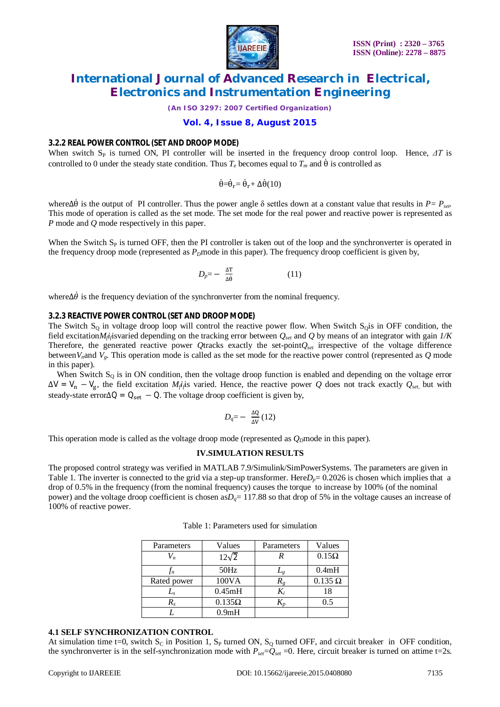

*(An ISO 3297: 2007 Certified Organization)*

### **Vol. 4, Issue 8, August 2015**

#### **3.2.2 REAL POWER CONTROL (SET AND DROOP MODE)**

When switch S<sub>P</sub> is turned ON, PI controller will be inserted in the frequency droop control loop. Hence,  $\Delta T$  is controlled to 0 under the steady state condition. Thus  $T_e$  becomes equal to  $T_m$  and  $\dot{\theta}$  is controlled as

 $\dot{\theta} = \dot{\theta}_r = \dot{\theta}_r + \Delta \dot{\theta} (10)$ 

whereΔθ is the output of PI controller. Thus the power angle δ settles down at a constant value that results in  $P = P_{set}$ . This mode of operation is called as the set mode. The set mode for the real power and reactive power is represented as *P* mode and *Q* mode respectively in this paper.

When the Switch  $S_p$  is turned OFF, then the PI controller is taken out of the loop and the synchronverter is operated in the frequency droop mode (represented as  $P_D$ mode in this paper). The frequency droop coefficient is given by,

$$
D_p = -\frac{\Delta T}{\Delta \dot{\theta}} \tag{11}
$$

where $\Delta \dot{\theta}$  is the frequency deviation of the synchronverter from the nominal frequency.

#### **3.2.3 REACTIVE POWER CONTROL (SET AND DROOP MODE)**

The Switch  $S<sub>Q</sub>$  in voltage droop loop will control the reactive power flow. When Switch  $S<sub>Q</sub>$  is in OFF condition, the field excitation $M_f$ *i*<sub>j</sub> isvaried depending on the tracking error between  $Q_{set}$  and  $Q$  by means of an integrator with gain  $1/K$ Therefore, the generated reactive power *Q*tracks exactly the set-point*Qset* irrespective of the voltage difference between  $V_n$  and  $V_g$ . This operation mode is called as the set mode for the reactive power control (represented as  $Q$  mode in this paper).

When Switch  $S_Q$  is in ON condition, then the voltage droop function is enabled and depending on the voltage error  $\Delta V = V_n - V_g$ , the field excitation *M<sub>j</sub>i*<sub>j</sub> varied. Hence, the reactive power *Q* does not track exactly  $Q_{set}$  but with steady-state error $\Delta Q = Q_{\text{set}} - Q$ . The voltage droop coefficient is given by,

$$
D_q = -\frac{\Delta Q}{\Delta V} (12)
$$

This operation mode is called as the voltage droop mode (represented as  $Q<sub>D</sub>$ mode in this paper).

#### **IV.SIMULATION RESULTS**

The proposed control strategy was verified in MATLAB 7.9/Simulink/SimPowerSystems. The parameters are given in Table 1. The inverter is connected to the grid via a step-up transformer. Here $D_p = 0.2026$  is chosen which implies that a drop of 0.5% in the frequency (from the nominal frequency) causes the torque to increase by 100% (of the nominal power) and the voltage droop coefficient is chosen as $D<sub>q</sub>$  = 117.88 so that drop of 5% in the voltage causes an increase of 100% of reactive power.

| Parameters       | Values             | Parameters | Values         |
|------------------|--------------------|------------|----------------|
|                  | $12\sqrt{2}$       |            | $0.15\Omega$   |
| $\mathfrak{f}_n$ | 50Hz               | $L_{g}$    | 0.4mH          |
| Rated power      | 100VA              |            | $0.135 \Omega$ |
| $L_{S}$          | 0.45mH             |            | 18             |
| R.               | $0.135\Omega$      |            |                |
|                  | 0.9 <sub>m</sub> H |            |                |

Table 1: Parameters used for simulation

#### **4.1 SELF SYNCHRONIZATION CONTROL**

At simulation time t=0, switch  $S_C$  in Position 1,  $S_P$  turned ON,  $S_Q$  turned OFF, and circuit breaker in OFF condition, the synchronverter is in the self-synchronization mode with  $P_{set}=Q_{set}=0$ . Here, circuit breaker is turned on attime t=2s.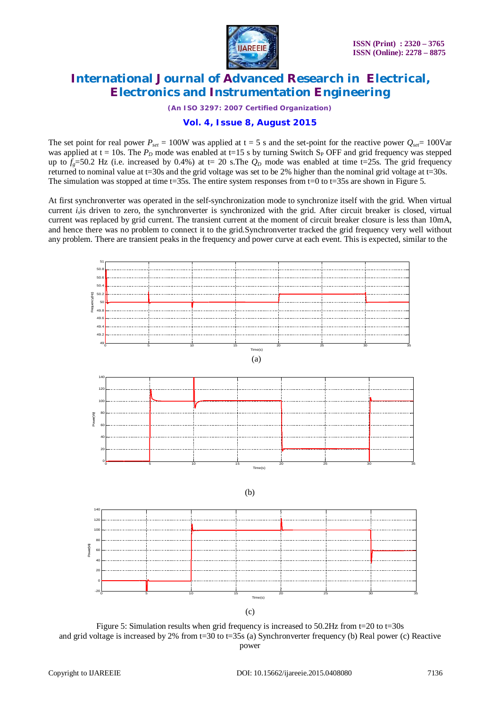

*(An ISO 3297: 2007 Certified Organization)*

### **Vol. 4, Issue 8, August 2015**

The set point for real power  $P_{set} = 100W$  was applied at  $t = 5$  s and the set-point for the reactive power  $Q_{set} = 100Var$ was applied at  $t = 10s$ . The  $P<sub>D</sub>$  mode was enabled at t=15 s by turning Switch S<sub>P</sub> OFF and grid frequency was stepped up to  $f<sub>o</sub>=50.2$  Hz (i.e. increased by 0.4%) at t= 20 s. The  $Q<sub>D</sub>$  mode was enabled at time t=25s. The grid frequency returned to nominal value at t=30s and the grid voltage was set to be 2% higher than the nominal grid voltage at t=30s. The simulation was stopped at time t=35s. The entire system responses from t=0 to t=35s are shown in Figure 5.

At first synchronverter was operated in the self-synchronization mode to synchronize itself with the grid. When virtual current *i<sup>s</sup>* is driven to zero, the synchronverter is synchronized with the grid. After circuit breaker is closed, virtual current was replaced by grid current. The transient current at the moment of circuit breaker closure is less than 10mA, and hence there was no problem to connect it to the grid.Synchronverter tracked the grid frequency very well without any problem. There are transient peaks in the frequency and power curve at each event. This is expected, similar to the



Figure 5: Simulation results when grid frequency is increased to 50.2Hz from t=20 to t=30s and grid voltage is increased by 2% from  $t=30$  to  $t=35s$  (a) Synchronverter frequency (b) Real power (c) Reactive power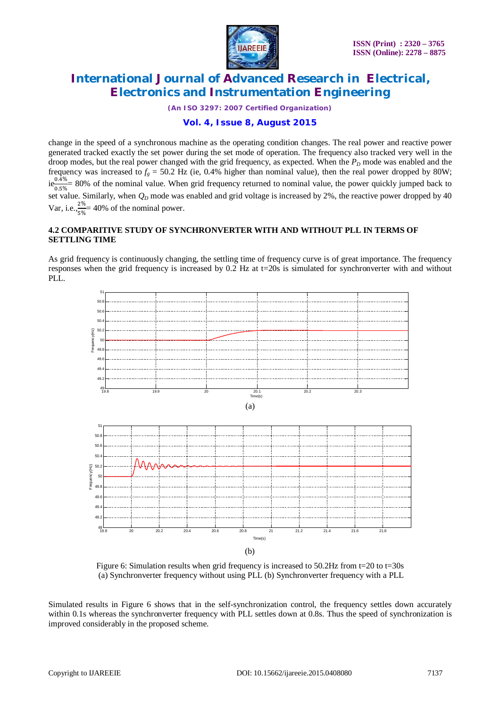

*(An ISO 3297: 2007 Certified Organization)*

### **Vol. 4, Issue 8, August 2015**

change in the speed of a synchronous machine as the operating condition changes. The real power and reactive power generated tracked exactly the set power during the set mode of operation. The frequency also tracked very well in the droop modes, but the real power changed with the grid frequency, as expected. When the  $P_D$  mode was enabled and the frequency was increased to  $f_g = 50.2$  Hz (ie, 0.4% higher than nominal value), then the real power dropped by 80W;  $ie^{0.4\%}_{0.5\%}$  80% of the nominal value. When grid frequency returned to nominal value, the power quickly jumped back to set value. Similarly, when  $Q_D$  mode was enabled and grid voltage is increased by 2%, the reactive power dropped by 40 Var, i.e., $\frac{2\%}{\sqrt{2\pi}}$  $rac{270}{5\%}$  = 40% of the nominal power.

### **4.2 COMPARITIVE STUDY OF SYNCHRONVERTER WITH AND WITHOUT PLL IN TERMS OF SETTLING TIME**

As grid frequency is continuously changing, the settling time of frequency curve is of great importance. The frequency responses when the grid frequency is increased by 0.2 Hz at t=20s is simulated for synchronverter with and without PLL.



Figure 6: Simulation results when grid frequency is increased to  $50.2Hz$  from t=20 to t=30s (a) Synchronverter frequency without using PLL (b) Synchronverter frequency with a PLL

Simulated results in Figure 6 shows that in the self-synchronization control, the frequency settles down accurately within 0.1s whereas the synchronverter frequency with PLL settles down at 0.8s. Thus the speed of synchronization is improved considerably in the proposed scheme.